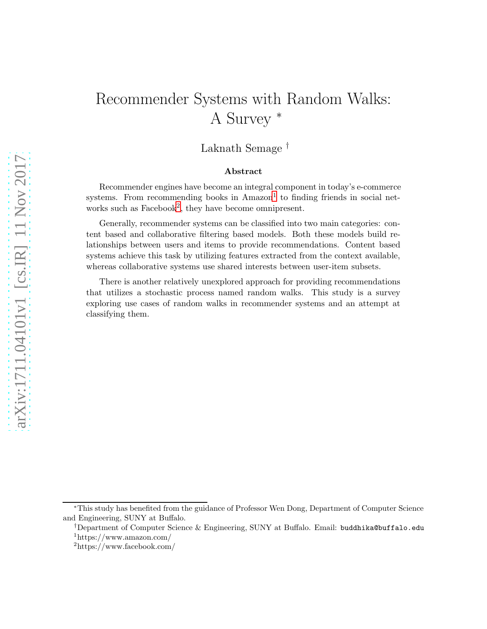# Recommender Systems with Random Walks: A Survey <sup>∗</sup>

Laknath Semage †

#### Abstract

Recommender engines have become an integral component in today's e-commerce systems. From recommending books in  $A$ mazon<sup>[1](#page-0-0)</sup> to finding friends in social net-works such as Facebook<sup>[2](#page-0-1)</sup>, they have become omnipresent.

Generally, recommender systems can be classified into two main categories: content based and collaborative filtering based models. Both these models build relationships between users and items to provide recommendations. Content based systems achieve this task by utilizing features extracted from the context available, whereas collaborative systems use shared interests between user-item subsets.

There is another relatively unexplored approach for providing recommendations that utilizes a stochastic process named random walks. This study is a survey exploring use cases of random walks in recommender systems and an attempt at classifying them.

<sup>∗</sup>This study has benefited from the guidance of Professor Wen Dong, Department of Computer Science and Engineering, SUNY at Buffalo.

<sup>†</sup>Department of Computer Science & Engineering, SUNY at Buffalo. Email: buddhika@buffalo.edu <sup>1</sup>https://www.amazon.com/

<span id="page-0-1"></span><span id="page-0-0"></span><sup>2</sup>https://www.facebook.com/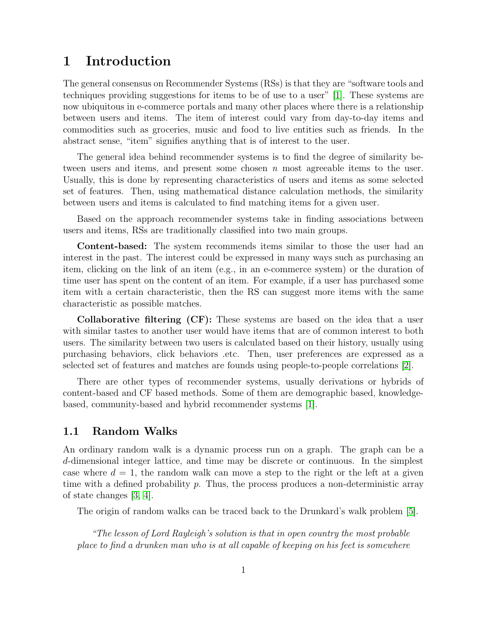## 1 Introduction

The general consensus on Recommender Systems (RSs) is that they are "software tools and techniques providing suggestions for items to be of use to a user" [\[1\]](#page-13-0). These systems are now ubiquitous in e-commerce portals and many other places where there is a relationship between users and items. The item of interest could vary from day-to-day items and commodities such as groceries, music and food to live entities such as friends. In the abstract sense, "item" signifies anything that is of interest to the user.

The general idea behind recommender systems is to find the degree of similarity between users and items, and present some chosen  $n$  most agreeable items to the user. Usually, this is done by representing characteristics of users and items as some selected set of features. Then, using mathematical distance calculation methods, the similarity between users and items is calculated to find matching items for a given user.

Based on the approach recommender systems take in finding associations between users and items, RSs are traditionally classified into two main groups.

Content-based: The system recommends items similar to those the user had an interest in the past. The interest could be expressed in many ways such as purchasing an item, clicking on the link of an item (e.g., in an e-commerce system) or the duration of time user has spent on the content of an item. For example, if a user has purchased some item with a certain characteristic, then the RS can suggest more items with the same characteristic as possible matches.

Collaborative filtering (CF): These systems are based on the idea that a user with similar tastes to another user would have items that are of common interest to both users. The similarity between two users is calculated based on their history, usually using purchasing behaviors, click behaviors .etc. Then, user preferences are expressed as a selected set of features and matches are founds using people-to-people correlations [\[2\]](#page-13-1).

There are other types of recommender systems, usually derivations or hybrids of content-based and CF based methods. Some of them are demographic based, knowledgebased, community-based and hybrid recommender systems [\[1\]](#page-13-0).

### 1.1 Random Walks

An ordinary random walk is a dynamic process run on a graph. The graph can be a d-dimensional integer lattice, and time may be discrete or continuous. In the simplest case where  $d = 1$ , the random walk can move a step to the right or the left at a given time with a defined probability  $p$ . Thus, the process produces a non-deterministic array of state changes [\[3,](#page-13-2) [4\]](#page-13-3).

The origin of random walks can be traced back to the Drunkard's walk problem [\[5\]](#page-13-4).

"The lesson of Lord Rayleigh's solution is that in open country the most probable place to find a drunken man who is at all capable of keeping on his feet is somewhere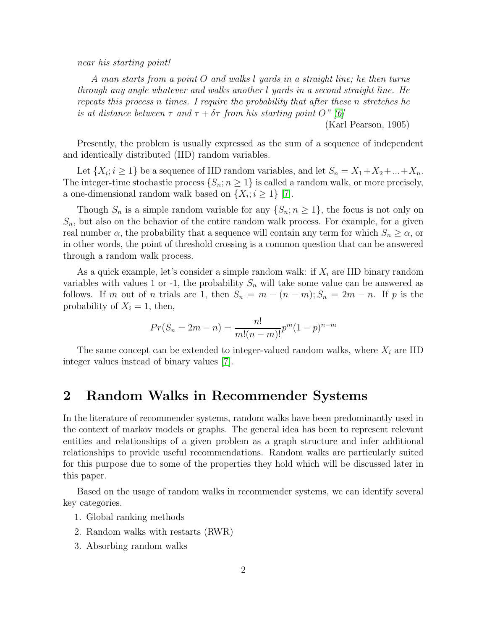near his starting point!

A man starts from a point O and walks l yards in a straight line; he then turns through any angle whatever and walks another l yards in a second straight line. He repeats this process n times. I require the probability that after these n stretches he is at distance between  $\tau$  and  $\tau + \delta \tau$  from his starting point O" [\[6\]](#page-13-5)

(Karl Pearson, 1905)

Presently, the problem is usually expressed as the sum of a sequence of independent and identically distributed (IID) random variables.

Let  $\{X_i; i \geq 1\}$  be a sequence of IID random variables, and let  $S_n = X_1 + X_2 + ... + X_n$ . The integer-time stochastic process  $\{S_n; n \geq 1\}$  is called a random walk, or more precisely, a one-dimensional random walk based on  $\{X_i; i \geq 1\}$  [\[7\]](#page-13-6).

Though  $S_n$  is a simple random variable for any  $\{S_n; n \geq 1\}$ , the focus is not only on  $S_n$ , but also on the behavior of the entire random walk process. For example, for a given real number  $\alpha$ , the probability that a sequence will contain any term for which  $S_n \geq \alpha$ , or in other words, the point of threshold crossing is a common question that can be answered through a random walk process.

As a quick example, let's consider a simple random walk: if  $X_i$  are IID binary random variables with values 1 or -1, the probability  $S_n$  will take some value can be answered as follows. If m out of n trials are 1, then  $S_n = m - (n - m)$ ;  $S_n = 2m - n$ . If p is the probability of  $X_i = 1$ , then,

$$
Pr(S_n = 2m - n) = \frac{n!}{m!(n-m)!}p^m(1-p)^{n-m}
$$

The same concept can be extended to integer-valued random walks, where  $X_i$  are IID integer values instead of binary values [\[7\]](#page-13-6).

# 2 Random Walks in Recommender Systems

In the literature of recommender systems, random walks have been predominantly used in the context of markov models or graphs. The general idea has been to represent relevant entities and relationships of a given problem as a graph structure and infer additional relationships to provide useful recommendations. Random walks are particularly suited for this purpose due to some of the properties they hold which will be discussed later in this paper.

Based on the usage of random walks in recommender systems, we can identify several key categories.

- 1. Global ranking methods
- 2. Random walks with restarts (RWR)
- 3. Absorbing random walks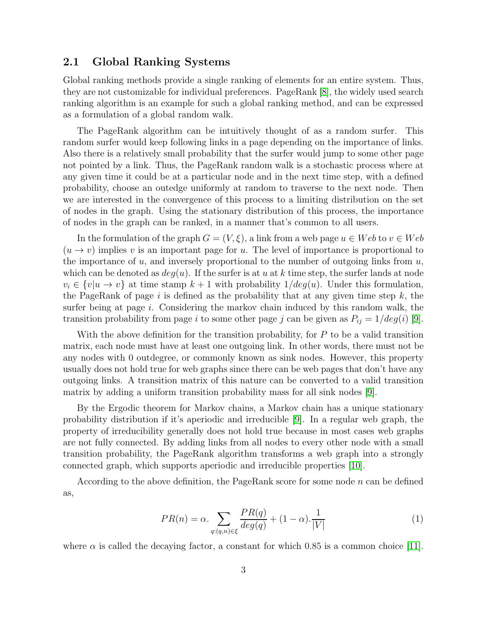### 2.1 Global Ranking Systems

Global ranking methods provide a single ranking of elements for an entire system. Thus, they are not customizable for individual preferences. PageRank [\[8\]](#page-13-7), the widely used search ranking algorithm is an example for such a global ranking method, and can be expressed as a formulation of a global random walk.

The PageRank algorithm can be intuitively thought of as a random surfer. This random surfer would keep following links in a page depending on the importance of links. Also there is a relatively small probability that the surfer would jump to some other page not pointed by a link. Thus, the PageRank random walk is a stochastic process where at any given time it could be at a particular node and in the next time step, with a defined probability, choose an outedge uniformly at random to traverse to the next node. Then we are interested in the convergence of this process to a limiting distribution on the set of nodes in the graph. Using the stationary distribution of this process, the importance of nodes in the graph can be ranked, in a manner that's common to all users.

In the formulation of the graph  $G = (V, \xi)$ , a link from a web page  $u \in Web$  to  $v \in Web$  $(u \to v)$  implies v is an important page for u. The level of importance is proportional to the importance of  $u$ , and inversely proportional to the number of outgoing links from  $u$ , which can be denoted as  $deg(u)$ . If the surfer is at u at k time step, the surfer lands at node  $v_i \in \{v|u \to v\}$  at time stamp  $k+1$  with probability  $1/deg(u)$ . Under this formulation, the PageRank of page i is defined as the probability that at any given time step  $k$ , the surfer being at page  $i$ . Considering the markov chain induced by this random walk, the transition probability from page i to some other page j can be given as  $P_{ij} = 1/deg(i)$  [\[9\]](#page-14-0).

With the above definition for the transition probability, for  $P$  to be a valid transition matrix, each node must have at least one outgoing link. In other words, there must not be any nodes with 0 outdegree, or commonly known as sink nodes. However, this property usually does not hold true for web graphs since there can be web pages that don't have any outgoing links. A transition matrix of this nature can be converted to a valid transition matrix by adding a uniform transition probability mass for all sink nodes [\[9\]](#page-14-0).

By the Ergodic theorem for Markov chains, a Markov chain has a unique stationary probability distribution if it's aperiodic and irreducible [\[9\]](#page-14-0). In a regular web graph, the property of irreducibility generally does not hold true because in most cases web graphs are not fully connected. By adding links from all nodes to every other node with a small transition probability, the PageRank algorithm transforms a web graph into a strongly connected graph, which supports aperiodic and irreducible properties [\[10\]](#page-14-1).

According to the above definition, the PageRank score for some node  $n$  can be defined as,

$$
PR(n) = \alpha \cdot \sum_{q:(q,n)\in\xi} \frac{PR(q)}{deg(q)} + (1-\alpha) \cdot \frac{1}{|V|}
$$
 (1)

where  $\alpha$  is called the decaying factor, a constant for which 0.85 is a common choice [\[11\]](#page-14-2).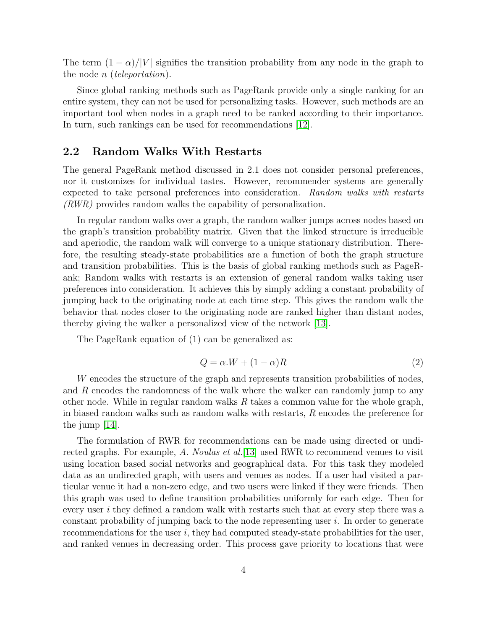The term  $(1 - \alpha)/|V|$  signifies the transition probability from any node in the graph to the node *n* (*teleportation*).

Since global ranking methods such as PageRank provide only a single ranking for an entire system, they can not be used for personalizing tasks. However, such methods are an important tool when nodes in a graph need to be ranked according to their importance. In turn, such rankings can be used for recommendations [\[12\]](#page-14-3).

### 2.2 Random Walks With Restarts

The general PageRank method discussed in 2.1 does not consider personal preferences, nor it customizes for individual tastes. However, recommender systems are generally expected to take personal preferences into consideration. Random walks with restarts (RWR) provides random walks the capability of personalization.

In regular random walks over a graph, the random walker jumps across nodes based on the graph's transition probability matrix. Given that the linked structure is irreducible and aperiodic, the random walk will converge to a unique stationary distribution. Therefore, the resulting steady-state probabilities are a function of both the graph structure and transition probabilities. This is the basis of global ranking methods such as PageRank; Random walks with restarts is an extension of general random walks taking user preferences into consideration. It achieves this by simply adding a constant probability of jumping back to the originating node at each time step. This gives the random walk the behavior that nodes closer to the originating node are ranked higher than distant nodes, thereby giving the walker a personalized view of the network [\[13\]](#page-14-4).

The PageRank equation of (1) can be generalized as:

$$
Q = \alpha.W + (1 - \alpha)R\tag{2}
$$

W encodes the structure of the graph and represents transition probabilities of nodes, and R encodes the randomness of the walk where the walker can randomly jump to any other node. While in regular random walks  $R$  takes a common value for the whole graph, in biased random walks such as random walks with restarts, R encodes the preference for the jump [\[14\]](#page-14-5).

The formulation of RWR for recommendations can be made using directed or undirected graphs. For example, A. Noulas et al.  $[13]$  used RWR to recommend venues to visit using location based social networks and geographical data. For this task they modeled data as an undirected graph, with users and venues as nodes. If a user had visited a particular venue it had a non-zero edge, and two users were linked if they were friends. Then this graph was used to define transition probabilities uniformly for each edge. Then for every user i they defined a random walk with restarts such that at every step there was a constant probability of jumping back to the node representing user  $i$ . In order to generate recommendations for the user  $i$ , they had computed steady-state probabilities for the user, and ranked venues in decreasing order. This process gave priority to locations that were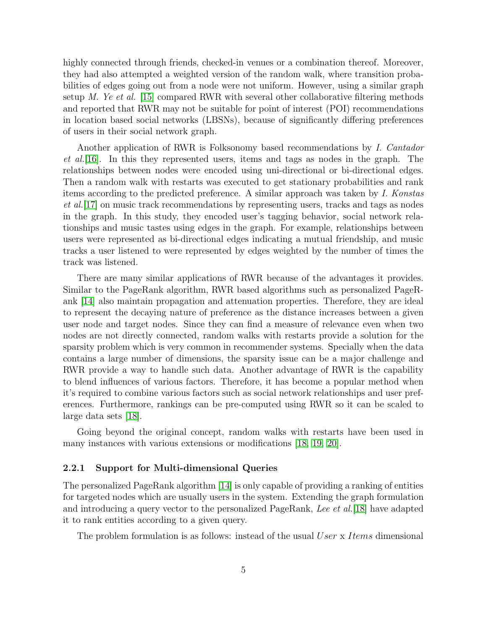highly connected through friends, checked-in venues or a combination thereof. Moreover, they had also attempted a weighted version of the random walk, where transition probabilities of edges going out from a node were not uniform. However, using a similar graph setup M. Ye et al. [\[15\]](#page-14-6) compared RWR with several other collaborative filtering methods and reported that RWR may not be suitable for point of interest (POI) recommendations in location based social networks (LBSNs), because of significantly differing preferences of users in their social network graph.

Another application of RWR is Folksonomy based recommendations by I. Cantador et al.[\[16\]](#page-14-7). In this they represented users, items and tags as nodes in the graph. The relationships between nodes were encoded using uni-directional or bi-directional edges. Then a random walk with restarts was executed to get stationary probabilities and rank items according to the predicted preference. A similar approach was taken by I. Konstas et al.[\[17\]](#page-14-8) on music track recommendations by representing users, tracks and tags as nodes in the graph. In this study, they encoded user's tagging behavior, social network relationships and music tastes using edges in the graph. For example, relationships between users were represented as bi-directional edges indicating a mutual friendship, and music tracks a user listened to were represented by edges weighted by the number of times the track was listened.

There are many similar applications of RWR because of the advantages it provides. Similar to the PageRank algorithm, RWR based algorithms such as personalized PageRank [\[14\]](#page-14-5) also maintain propagation and attenuation properties. Therefore, they are ideal to represent the decaying nature of preference as the distance increases between a given user node and target nodes. Since they can find a measure of relevance even when two nodes are not directly connected, random walks with restarts provide a solution for the sparsity problem which is very common in recommender systems. Specially when the data contains a large number of dimensions, the sparsity issue can be a major challenge and RWR provide a way to handle such data. Another advantage of RWR is the capability to blend influences of various factors. Therefore, it has become a popular method when it's required to combine various factors such as social network relationships and user preferences. Furthermore, rankings can be pre-computed using RWR so it can be scaled to large data sets [\[18\]](#page-14-9).

Going beyond the original concept, random walks with restarts have been used in many instances with various extensions or modifications [\[18,](#page-14-9) [19,](#page-14-10) [20\]](#page-14-11).

#### 2.2.1 Support for Multi-dimensional Queries

The personalized PageRank algorithm [\[14\]](#page-14-5) is only capable of providing a ranking of entities for targeted nodes which are usually users in the system. Extending the graph formulation and introducing a query vector to the personalized PageRank, Lee et al. [\[18\]](#page-14-9) have adapted it to rank entities according to a given query.

The problem formulation is as follows: instead of the usual User x Items dimensional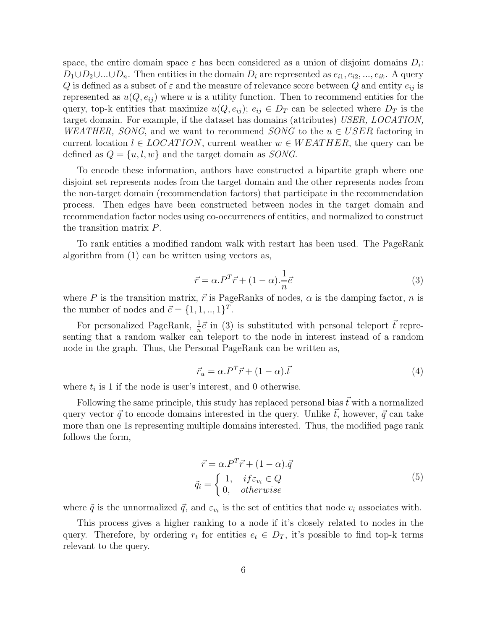space, the entire domain space  $\varepsilon$  has been considered as a union of disjoint domains  $D_i$ :  $D_1 \cup D_2 \cup ... \cup D_n$ . Then entities in the domain  $D_i$  are represented as  $e_{i1}, e_{i2}, ..., e_{ik}$ . A query Q is defined as a subset of  $\varepsilon$  and the measure of relevance score between Q and entity  $e_{ij}$  is represented as  $u(Q, e_{ij})$  where u is a utility function. Then to recommend entities for the query, top-k entities that maximize  $u(Q, e_{ij}); e_{ij} \in D_T$  can be selected where  $D_T$  is the target domain. For example, if the dataset has domains (attributes) USER, LOCATION, WEATHER, SONG, and we want to recommend SONG to the  $u \in USER$  factoring in current location  $l \in LOCATION$ , current weather  $w \in WEATHER$ , the query can be defined as  $Q = \{u, l, w\}$  and the target domain as *SONG*.

To encode these information, authors have constructed a bipartite graph where one disjoint set represents nodes from the target domain and the other represents nodes from the non-target domain (recommendation factors) that participate in the recommendation process. Then edges have been constructed between nodes in the target domain and recommendation factor nodes using co-occurrences of entities, and normalized to construct the transition matrix P.

To rank entities a modified random walk with restart has been used. The PageRank algorithm from (1) can be written using vectors as,

$$
\vec{r} = \alpha.P^T \vec{r} + (1 - \alpha) \cdot \frac{1}{n} \vec{e}
$$
\n(3)

where P is the transition matrix,  $\vec{r}$  is PageRanks of nodes,  $\alpha$  is the damping factor, n is the number of nodes and  $\vec{e} = \{1, 1, \ldots, 1\}^T$ .

For personalized PageRank,  $\frac{1}{n}\vec{e}$  in (3) is substituted with personal teleport  $\vec{t}$  representing that a random walker can teleport to the node in interest instead of a random node in the graph. Thus, the Personal PageRank can be written as,

$$
\vec{r}_u = \alpha \cdot P^T \vec{r} + (1 - \alpha) \cdot \vec{t} \tag{4}
$$

where  $t_i$  is 1 if the node is user's interest, and 0 otherwise.

Following the same principle, this study has replaced personal bias  $\vec{t}$  with a normalized query vector  $\vec{q}$  to encode domains interested in the query. Unlike  $\vec{t}$ , however,  $\vec{q}$  can take more than one 1s representing multiple domains interested. Thus, the modified page rank follows the form,

$$
\vec{r} = \alpha \cdot P^T \vec{r} + (1 - \alpha) \cdot \vec{q}
$$
\n
$$
\tilde{q}_i = \begin{cases}\n1, & \text{if } \varepsilon_{v_i} \in Q \\
0, & \text{otherwise}\n\end{cases} \tag{5}
$$

where  $\tilde{q}$  is the unnormalized  $\vec{q}$ , and  $\varepsilon_{v_i}$  is the set of entities that node  $v_i$  associates with.

This process gives a higher ranking to a node if it's closely related to nodes in the query. Therefore, by ordering  $r_t$  for entities  $e_t \in D_T$ , it's possible to find top-k terms relevant to the query.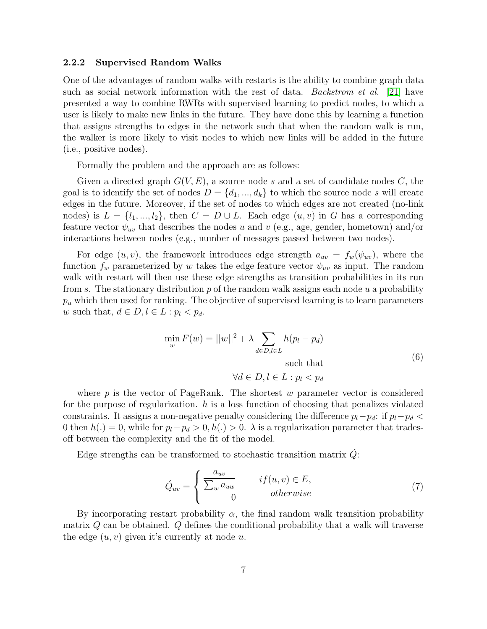#### 2.2.2 Supervised Random Walks

One of the advantages of random walks with restarts is the ability to combine graph data such as social network information with the rest of data. Backstrom et al. [\[21\]](#page-14-12) have presented a way to combine RWRs with supervised learning to predict nodes, to which a user is likely to make new links in the future. They have done this by learning a function that assigns strengths to edges in the network such that when the random walk is run, the walker is more likely to visit nodes to which new links will be added in the future (i.e., positive nodes).

Formally the problem and the approach are as follows:

Given a directed graph  $G(V, E)$ , a source node s and a set of candidate nodes C, the goal is to identify the set of nodes  $D = \{d_1, ..., d_k\}$  to which the source node s will create edges in the future. Moreover, if the set of nodes to which edges are not created (no-link nodes) is  $L = \{l_1, ..., l_2\}$ , then  $C = D \cup L$ . Each edge  $(u, v)$  in G has a corresponding feature vector  $\psi_{uv}$  that describes the nodes u and v (e.g., age, gender, hometown) and/or interactions between nodes (e.g., number of messages passed between two nodes).

For edge  $(u, v)$ , the framework introduces edge strength  $a_{uv} = f_w(\psi_{uv})$ , where the function  $f_w$  parameterized by w takes the edge feature vector  $\psi_{uv}$  as input. The random walk with restart will then use these edge strengths as transition probabilities in its run from s. The stationary distribution  $p$  of the random walk assigns each node  $u$  a probability  $p_u$  which then used for ranking. The objective of supervised learning is to learn parameters w such that,  $d \in D, l \in L : p_l < p_d$ .

$$
\min_{w} F(w) = ||w||^2 + \lambda \sum_{d \in D, l \in L} h(p_l - p_d)
$$
  
such that (6)

 $\forall d \in D, l \in L : p_l < p_d$ 

where  $p$  is the vector of PageRank. The shortest w parameter vector is considered for the purpose of regularization.  $h$  is a loss function of choosing that penalizes violated constraints. It assigns a non-negative penalty considering the difference  $p_l-p_d$ : if  $p_l-p_d$ 0 then  $h(.) = 0$ , while for  $p_l-p_d > 0, h(.) > 0$ .  $\lambda$  is a regularization parameter that tradesoff between the complexity and the fit of the model.

Edge strengths can be transformed to stochastic transition matrix  $Q$ :

$$
\acute{Q}_{uv} = \begin{cases}\n\frac{a_{uv}}{\sum_{w} a_{uw}} & if (u, v) \in E, \\
0 & otherwise\n\end{cases}
$$
\n(7)

By incorporating restart probability  $\alpha$ , the final random walk transition probability matrix  $Q$  can be obtained.  $Q$  defines the conditional probability that a walk will traverse the edge  $(u, v)$  given it's currently at node u.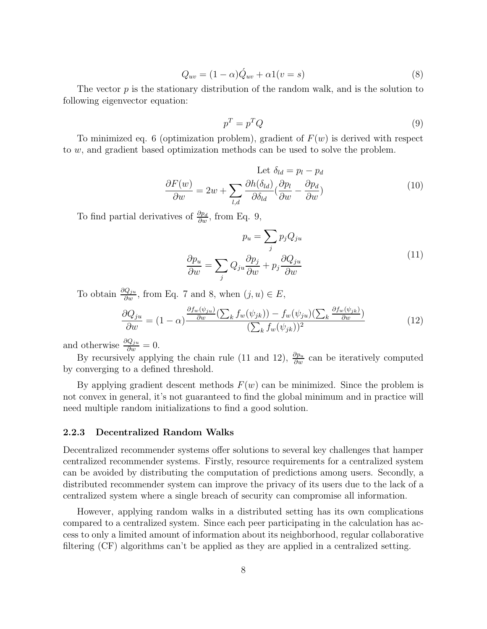$$
Q_{uv} = (1 - \alpha)\acute{Q}_{uv} + \alpha 1(v = s)
$$
\n<sup>(8)</sup>

The vector  $p$  is the stationary distribution of the random walk, and is the solution to following eigenvector equation:

$$
p^T = p^T Q \tag{9}
$$

To minimized eq. 6 (optimization problem), gradient of  $F(w)$  is derived with respect to w, and gradient based optimization methods can be used to solve the problem.

Let 
$$
\delta_{ld} = p_l - p_d
$$
  
\n
$$
\frac{\partial F(w)}{\partial w} = 2w + \sum_{l,d} \frac{\partial h(\delta_{ld})}{\partial \delta_{ld}} \left(\frac{\partial p_l}{\partial w} - \frac{\partial p_d}{\partial w}\right)
$$
\n(10)

To find partial derivatives of  $\frac{\partial p_d}{\partial w}$ , from Eq. 9,

$$
p_u = \sum_j p_j Q_{ju}
$$

$$
\frac{\partial p_u}{\partial w} = \sum_j Q_{ju} \frac{\partial p_j}{\partial w} + p_j \frac{\partial Q_{ju}}{\partial w}
$$
(11)

To obtain  $\frac{\partial Q_{ju}}{\partial w}$ , from Eq. 7 and 8, when  $(j, u) \in E$ ,

$$
\frac{\partial Q_{ju}}{\partial w} = (1 - \alpha) \frac{\frac{\partial f_w(\psi_{ju})}{\partial w} (\sum_k f_w(\psi_{jk})) - f_w(\psi_{ju}) (\sum_k \frac{\partial f_w(\psi_{jk})}{\partial w})}{(\sum_k f_w(\psi_{jk}))^2}
$$
(12)

and otherwise  $\frac{\partial Q_{ju}}{\partial w} = 0$ .

By recursively applying the chain rule (11 and 12),  $\frac{\partial p_u}{\partial w}$  can be iteratively computed by converging to a defined threshold.

By applying gradient descent methods  $F(w)$  can be minimized. Since the problem is not convex in general, it's not guaranteed to find the global minimum and in practice will need multiple random initializations to find a good solution.

#### 2.2.3 Decentralized Random Walks

Decentralized recommender systems offer solutions to several key challenges that hamper centralized recommender systems. Firstly, resource requirements for a centralized system can be avoided by distributing the computation of predictions among users. Secondly, a distributed recommender system can improve the privacy of its users due to the lack of a centralized system where a single breach of security can compromise all information.

However, applying random walks in a distributed setting has its own complications compared to a centralized system. Since each peer participating in the calculation has access to only a limited amount of information about its neighborhood, regular collaborative filtering (CF) algorithms can't be applied as they are applied in a centralized setting.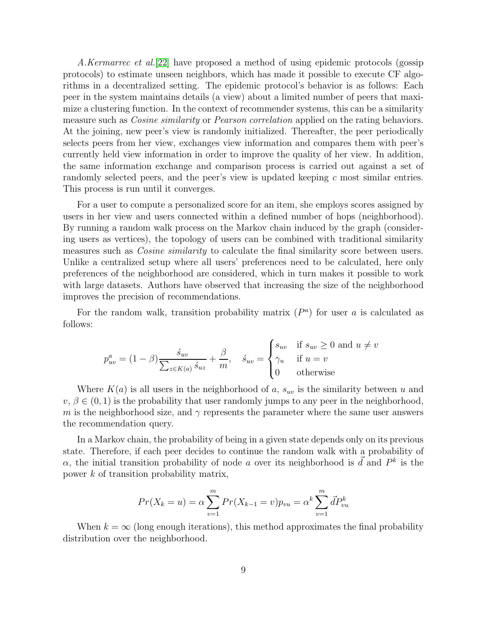A.Kermarrec et al. (22) have proposed a method of using epidemic protocols (gossip protocols) to estimate unseen neighbors, which has made it possible to execute CF algorithms in a decentralized setting. The epidemic protocol's behavior is as follows: Each peer in the system maintains details (a view) about a limited number of peers that maximize a clustering function. In the context of recommender systems, this can be a similarity measure such as *Cosine similarity* or *Pearson correlation* applied on the rating behaviors. At the joining, new peer's view is randomly initialized. Thereafter, the peer periodically selects peers from her view, exchanges view information and compares them with peer's currently held view information in order to improve the quality of her view. In addition, the same information exchange and comparison process is carried out against a set of randomly selected peers, and the peer's view is updated keeping c most similar entries. This process is run until it converges.

For a user to compute a personalized score for an item, she employs scores assigned by users in her view and users connected within a defined number of hops (neighborhood). By running a random walk process on the Markov chain induced by the graph (considering users as vertices), the topology of users can be combined with traditional similarity measures such as *Cosine similarity* to calculate the final similarity score between users. Unlike a centralized setup where all users' preferences need to be calculated, here only preferences of the neighborhood are considered, which in turn makes it possible to work with large datasets. Authors have observed that increasing the size of the neighborhood improves the precision of recommendations.

For the random walk, transition probability matrix  $(P<sup>a</sup>)$  for user a is calculated as follows:

$$
p_{uv}^a = (1 - \beta) \frac{\dot{s}_{uv}}{\sum_{z \in K(a)} \dot{s}_{uz}} + \frac{\beta}{m}, \quad \dot{s}_{uv} = \begin{cases} s_{uv} & \text{if } s_{uv} \ge 0 \text{ and } u \ne v \\ \gamma_u & \text{if } u = v \\ 0 & \text{otherwise} \end{cases}
$$

Where  $K(a)$  is all users in the neighborhood of a,  $s_{uv}$  is the similarity between u and  $v, \beta \in (0, 1)$  is the probability that user randomly jumps to any peer in the neighborhood, m is the neighborhood size, and  $\gamma$  represents the parameter where the same user answers the recommendation query.

In a Markov chain, the probability of being in a given state depends only on its previous state. Therefore, if each peer decides to continue the random walk with a probability of  $\alpha$ , the initial transition probability of node a over its neighborhood is  $\vec{d}$  and  $P^k$  is the power k of transition probability matrix,

$$
Pr(X_k = u) = \alpha \sum_{v=1}^{m} Pr(X_{k-1} = v) p_{vu} = \alpha^k \sum_{v=1}^{m} dP_{vu}^k
$$

When  $k = \infty$  (long enough iterations), this method approximates the final probability distribution over the neighborhood.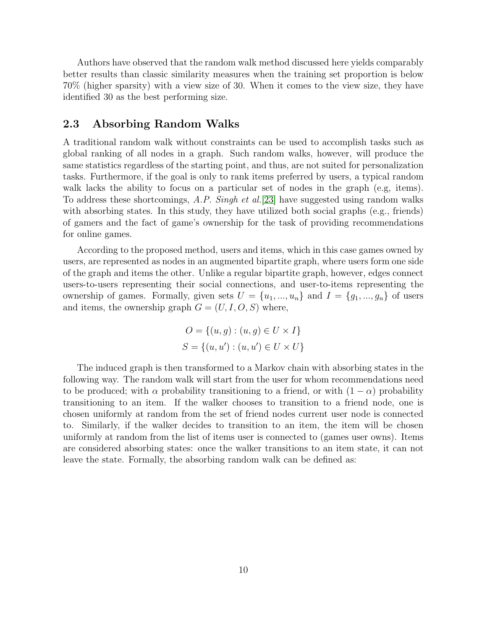Authors have observed that the random walk method discussed here yields comparably better results than classic similarity measures when the training set proportion is below 70% (higher sparsity) with a view size of 30. When it comes to the view size, they have identified 30 as the best performing size.

### 2.3 Absorbing Random Walks

A traditional random walk without constraints can be used to accomplish tasks such as global ranking of all nodes in a graph. Such random walks, however, will produce the same statistics regardless of the starting point, and thus, are not suited for personalization tasks. Furthermore, if the goal is only to rank items preferred by users, a typical random walk lacks the ability to focus on a particular set of nodes in the graph (e.g, items). To address these shortcomings,  $A.P.$  Singh et al. [\[23\]](#page-14-14) have suggested using random walks with absorbing states. In this study, they have utilized both social graphs (e.g., friends) of gamers and the fact of game's ownership for the task of providing recommendations for online games.

According to the proposed method, users and items, which in this case games owned by users, are represented as nodes in an augmented bipartite graph, where users form one side of the graph and items the other. Unlike a regular bipartite graph, however, edges connect users-to-users representing their social connections, and user-to-items representing the ownership of games. Formally, given sets  $U = \{u_1, ..., u_n\}$  and  $I = \{g_1, ..., g_n\}$  of users and items, the ownership graph  $G = (U, I, O, S)$  where,

$$
O = \{(u, g) : (u, g) \in U \times I\}
$$
  

$$
S = \{(u, u') : (u, u') \in U \times U\}
$$

The induced graph is then transformed to a Markov chain with absorbing states in the following way. The random walk will start from the user for whom recommendations need to be produced; with  $\alpha$  probability transitioning to a friend, or with  $(1 - \alpha)$  probability transitioning to an item. If the walker chooses to transition to a friend node, one is chosen uniformly at random from the set of friend nodes current user node is connected to. Similarly, if the walker decides to transition to an item, the item will be chosen uniformly at random from the list of items user is connected to (games user owns). Items are considered absorbing states: once the walker transitions to an item state, it can not leave the state. Formally, the absorbing random walk can be defined as: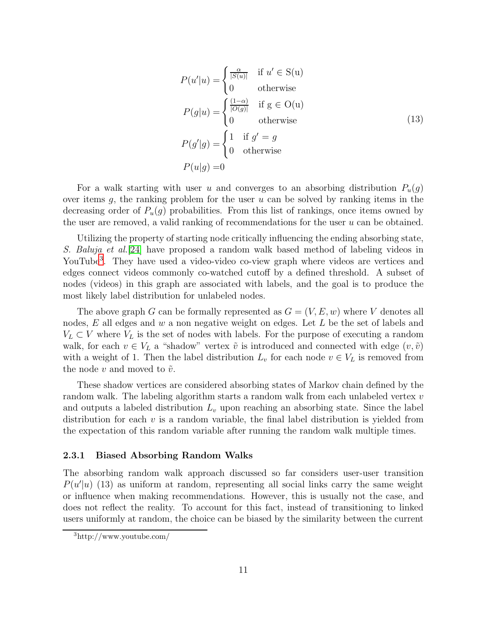$$
P(u'|u) = \begin{cases} \frac{\alpha}{|S(u)|} & \text{if } u' \in S(u) \\ 0 & \text{otherwise} \end{cases}
$$
  
\n
$$
P(g|u) = \begin{cases} \frac{(1-\alpha)}{|O(g)|} & \text{if } g \in O(u) \\ 0 & \text{otherwise} \end{cases}
$$
  
\n
$$
P(g'|g) = \begin{cases} 1 & \text{if } g' = g \\ 0 & \text{otherwise} \end{cases}
$$
  
\n
$$
P(u|g) = 0
$$
  
\n(13)

For a walk starting with user u and converges to an absorbing distribution  $P_u(g)$ over items  $g$ , the ranking problem for the user  $u$  can be solved by ranking items in the decreasing order of  $P_u(q)$  probabilities. From this list of rankings, once items owned by the user are removed, a valid ranking of recommendations for the user  $u$  can be obtained.

Utilizing the property of starting node critically influencing the ending absorbing state, S. Baluja et al.[\[24\]](#page-15-0) have proposed a random walk based method of labeling videos in YouTube<sup>[3](#page-11-0)</sup>. They have used a video-video co-view graph where videos are vertices and edges connect videos commonly co-watched cutoff by a defined threshold. A subset of nodes (videos) in this graph are associated with labels, and the goal is to produce the most likely label distribution for unlabeled nodes.

The above graph G can be formally represented as  $G = (V, E, w)$  where V denotes all nodes,  $E$  all edges and  $w$  a non negative weight on edges. Let  $L$  be the set of labels and  $V_L \subset V$  where  $V_L$  is the set of nodes with labels. For the purpose of executing a random walk, for each  $v \in V_L$  a "shadow" vertex  $\tilde{v}$  is introduced and connected with edge  $(v, \tilde{v})$ with a weight of 1. Then the label distribution  $L_v$  for each node  $v \in V_L$  is removed from the node v and moved to  $\tilde{v}$ .

These shadow vertices are considered absorbing states of Markov chain defined by the random walk. The labeling algorithm starts a random walk from each unlabeled vertex v and outputs a labeled distribution  $L<sub>v</sub>$  upon reaching an absorbing state. Since the label distribution for each  $v$  is a random variable, the final label distribution is yielded from the expectation of this random variable after running the random walk multiple times.

#### 2.3.1 Biased Absorbing Random Walks

The absorbing random walk approach discussed so far considers user-user transition  $P(u'|u)$  (13) as uniform at random, representing all social links carry the same weight or influence when making recommendations. However, this is usually not the case, and does not reflect the reality. To account for this fact, instead of transitioning to linked users uniformly at random, the choice can be biased by the similarity between the current

<span id="page-11-0"></span><sup>3</sup>http://www.youtube.com/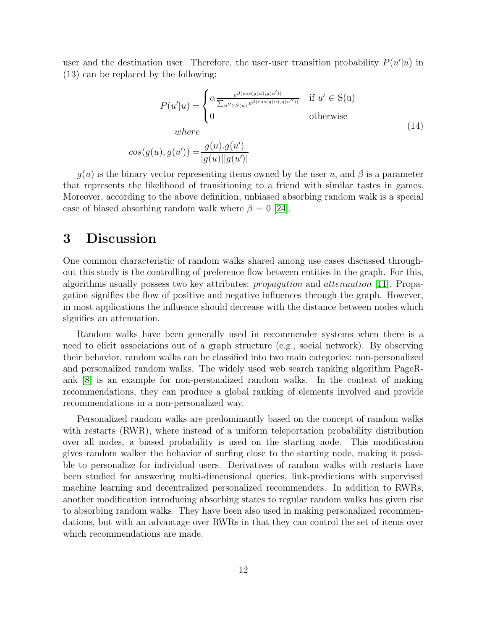user and the destination user. Therefore, the user-user transition probability  $P(u'|u)$  in (13) can be replaced by the following:

$$
P(u'|u) = \begin{cases} \alpha \frac{e^{\beta(cos(g(u), g(u')))}}{\sum_{u'' \in S(u)} e^{\beta(cos(g(u), g(u')))}} & \text{if } u' \in S(u) \\ 0 & \text{otherwise} \end{cases}
$$
  
\n
$$
cos(g(u), g(u')) = \frac{g(u).g(u')}{|g(u)||g(u')|}
$$
\n(14)

 $g(u)$  is the binary vector representing items owned by the user u, and  $\beta$  is a parameter that represents the likelihood of transitioning to a friend with similar tastes in games. Moreover, according to the above definition, unbiased absorbing random walk is a special case of biased absorbing random walk where  $\beta = 0$  [\[24\]](#page-15-0).

# 3 Discussion

One common characteristic of random walks shared among use cases discussed throughout this study is the controlling of preference flow between entities in the graph. For this, algorithms usually possess two key attributes: propagation and attenuation [\[11\]](#page-14-2). Propagation signifies the flow of positive and negative influences through the graph. However, in most applications the influence should decrease with the distance between nodes which signifies an attenuation.

Random walks have been generally used in recommender systems when there is a need to elicit associations out of a graph structure (e.g., social network). By observing their behavior, random walks can be classified into two main categories: non-personalized and personalized random walks. The widely used web search ranking algorithm PageRank [\[8\]](#page-13-7) is an example for non-personalized random walks. In the context of making recommendations, they can produce a global ranking of elements involved and provide recommendations in a non-personalized way.

Personalized random walks are predominantly based on the concept of random walks with restarts (RWR), where instead of a uniform teleportation probability distribution over all nodes, a biased probability is used on the starting node. This modification gives random walker the behavior of surfing close to the starting node, making it possible to personalize for individual users. Derivatives of random walks with restarts have been studied for answering multi-dimensional queries, link-predictions with supervised machine learning and decentralized personalized recommenders. In addition to RWRs, another modification introducing absorbing states to regular random walks has given rise to absorbing random walks. They have been also used in making personalized recommendations, but with an advantage over RWRs in that they can control the set of items over which recommendations are made.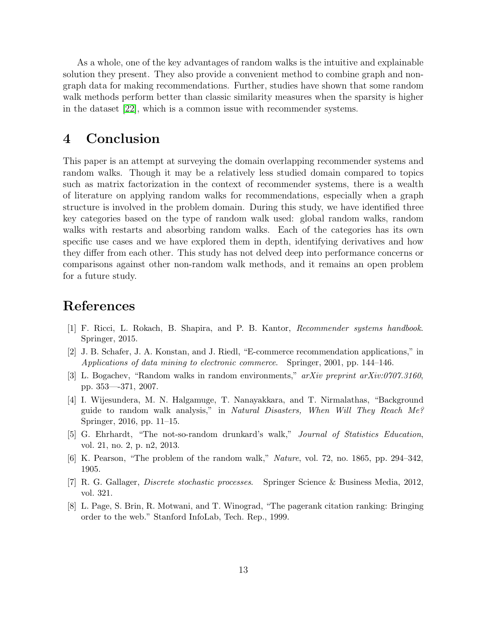As a whole, one of the key advantages of random walks is the intuitive and explainable solution they present. They also provide a convenient method to combine graph and nongraph data for making recommendations. Further, studies have shown that some random walk methods perform better than classic similarity measures when the sparsity is higher in the dataset [\[22\]](#page-14-13), which is a common issue with recommender systems.

## 4 Conclusion

This paper is an attempt at surveying the domain overlapping recommender systems and random walks. Though it may be a relatively less studied domain compared to topics such as matrix factorization in the context of recommender systems, there is a wealth of literature on applying random walks for recommendations, especially when a graph structure is involved in the problem domain. During this study, we have identified three key categories based on the type of random walk used: global random walks, random walks with restarts and absorbing random walks. Each of the categories has its own specific use cases and we have explored them in depth, identifying derivatives and how they differ from each other. This study has not delved deep into performance concerns or comparisons against other non-random walk methods, and it remains an open problem for a future study.

# <span id="page-13-0"></span>References

- [1] F. Ricci, L. Rokach, B. Shapira, and P. B. Kantor, *Recommender systems handbook*. Springer, 2015.
- <span id="page-13-1"></span>[2] J. B. Schafer, J. A. Konstan, and J. Riedl, "E-commerce recommendation applications," in *Applications of data mining to electronic commerce*. Springer, 2001, pp. 144–146.
- <span id="page-13-2"></span>[3] L. Bogachev, "Random walks in random environments," *arXiv preprint arXiv:0707.3160*, pp. 353—-371, 2007.
- <span id="page-13-3"></span>[4] I. Wijesundera, M. N. Halgamuge, T. Nanayakkara, and T. Nirmalathas, "Background guide to random walk analysis," in *Natural Disasters, When Will They Reach Me?* Springer, 2016, pp. 11–15.
- <span id="page-13-4"></span>[5] G. Ehrhardt, "The not-so-random drunkard's walk," *Journal of Statistics Education*, vol. 21, no. 2, p. n2, 2013.
- <span id="page-13-6"></span><span id="page-13-5"></span>[6] K. Pearson, "The problem of the random walk," *Nature*, vol. 72, no. 1865, pp. 294–342, 1905.
- [7] R. G. Gallager, *Discrete stochastic processes*. Springer Science & Business Media, 2012, vol. 321.
- <span id="page-13-7"></span>[8] L. Page, S. Brin, R. Motwani, and T. Winograd, "The pagerank citation ranking: Bringing order to the web." Stanford InfoLab, Tech. Rep., 1999.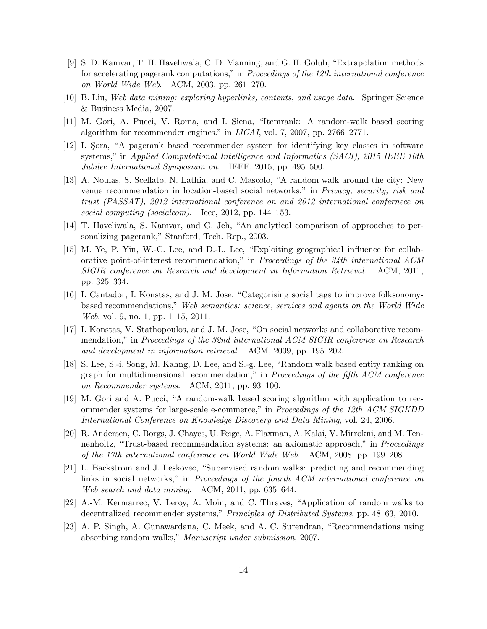- <span id="page-14-0"></span>[9] S. D. Kamvar, T. H. Haveliwala, C. D. Manning, and G. H. Golub, "Extrapolation methods for accelerating pagerank computations," in *Proceedings of the 12th international conference on World Wide Web*. ACM, 2003, pp. 261–270.
- <span id="page-14-2"></span><span id="page-14-1"></span>[10] B. Liu, *Web data mining: exploring hyperlinks, contents, and usage data*. Springer Science & Business Media, 2007.
- [11] M. Gori, A. Pucci, V. Roma, and I. Siena, "Itemrank: A random-walk based scoring algorithm for recommender engines." in *IJCAI*, vol. 7, 2007, pp. 2766–2771.
- <span id="page-14-3"></span>[12] I. Sora, "A pagerank based recommender system for identifying key classes in software systems," in *Applied Computational Intelligence and Informatics (SACI), 2015 IEEE 10th Jubilee International Symposium on*. IEEE, 2015, pp. 495–500.
- <span id="page-14-4"></span>[13] A. Noulas, S. Scellato, N. Lathia, and C. Mascolo, "A random walk around the city: New venue recommendation in location-based social networks," in *Privacy, security, risk and trust (PASSAT), 2012 international conference on and 2012 international confernece on social computing (socialcom)*. Ieee, 2012, pp. 144–153.
- <span id="page-14-5"></span>[14] T. Haveliwala, S. Kamvar, and G. Jeh, "An analytical comparison of approaches to personalizing pagerank," Stanford, Tech. Rep., 2003.
- <span id="page-14-6"></span>[15] M. Ye, P. Yin, W.-C. Lee, and D.-L. Lee, "Exploiting geographical influence for collaborative point-of-interest recommendation," in *Proceedings of the 34th international ACM SIGIR conference on Research and development in Information Retrieval*. ACM, 2011, pp. 325–334.
- <span id="page-14-7"></span>[16] I. Cantador, I. Konstas, and J. M. Jose, "Categorising social tags to improve folksonomybased recommendations," *Web semantics: science, services and agents on the World Wide Web*, vol. 9, no. 1, pp. 1–15, 2011.
- <span id="page-14-8"></span>[17] I. Konstas, V. Stathopoulos, and J. M. Jose, "On social networks and collaborative recommendation," in *Proceedings of the 32nd international ACM SIGIR conference on Research and development in information retrieval*. ACM, 2009, pp. 195–202.
- <span id="page-14-9"></span>[18] S. Lee, S.-i. Song, M. Kahng, D. Lee, and S.-g. Lee, "Random walk based entity ranking on graph for multidimensional recommendation," in *Proceedings of the fifth ACM conference on Recommender systems*. ACM, 2011, pp. 93–100.
- <span id="page-14-10"></span>[19] M. Gori and A. Pucci, "A random-walk based scoring algorithm with application to recommender systems for large-scale e-commerce," in *Proceedings of the 12th ACM SIGKDD International Conference on Knowledge Discovery and Data Mining*, vol. 24, 2006.
- <span id="page-14-11"></span>[20] R. Andersen, C. Borgs, J. Chayes, U. Feige, A. Flaxman, A. Kalai, V. Mirrokni, and M. Tennenholtz, "Trust-based recommendation systems: an axiomatic approach," in *Proceedings of the 17th international conference on World Wide Web*. ACM, 2008, pp. 199–208.
- <span id="page-14-12"></span>[21] L. Backstrom and J. Leskovec, "Supervised random walks: predicting and recommending links in social networks," in *Proceedings of the fourth ACM international conference on Web search and data mining*. ACM, 2011, pp. 635–644.
- <span id="page-14-13"></span>[22] A.-M. Kermarrec, V. Leroy, A. Moin, and C. Thraves, "Application of random walks to decentralized recommender systems," *Principles of Distributed Systems*, pp. 48–63, 2010.
- <span id="page-14-14"></span>[23] A. P. Singh, A. Gunawardana, C. Meek, and A. C. Surendran, "Recommendations using absorbing random walks," *Manuscript under submission*, 2007.